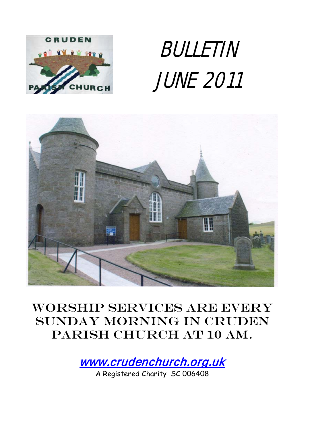

# BULLETIN JUNE 2011



# Worship services are every Sunday morning in Cruden PARISH CHURCH AT 10 AM.

[www.crudenchurch.org.uk](http://www.crudenchurch.org.uk/) 

A Registered Charity SC 006408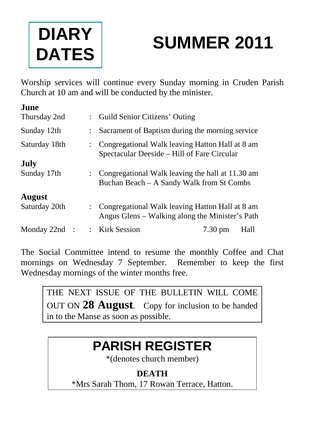

# **SUMMER 2011**

Worship services will continue every Sunday morning in Cruden Parish Church at 10 am and will be conducted by the minister.

| June            |  |                                                                                                      |                   |      |
|-----------------|--|------------------------------------------------------------------------------------------------------|-------------------|------|
| Thursday 2nd    |  | : Guild Senior Citizens' Outing                                                                      |                   |      |
| Sunday 12th     |  | Sacrament of Baptism during the morning service                                                      |                   |      |
| Saturday 18th   |  | Congregational Walk leaving Hatton Hall at 8 am<br>Spectacular Deeside – Hill of Fare Circular       |                   |      |
| July            |  |                                                                                                      |                   |      |
| Sunday 17th     |  | : Congregational Walk leaving the hall at 11.30 am<br>Buchan Beach – A Sandy Walk from St Combs      |                   |      |
| <b>August</b>   |  |                                                                                                      |                   |      |
| Saturday 20th   |  | : Congregational Walk leaving Hatton Hall at 8 am<br>Angus Glens – Walking along the Minister's Path |                   |      |
| Monday $22nd$ : |  | : Kirk Session                                                                                       | $7.30 \text{ pm}$ | Hall |

The Social Committee intend to resume the monthly Coffee and Chat mornings on Wednesday 7 September. Remember to keep the first Wednesday mornings of the winter months free.

THE NEXT ISSUE OF THE BULLETIN WILL COME OUT ON **28 August**. Copy for inclusion to be handed in to the Manse as soon as possible.

# **PARISH REGISTER**

\*(denotes church member)

## **DEATH**

\*Mrs Sarah Thom, 17 Rowan Terrace, Hatton.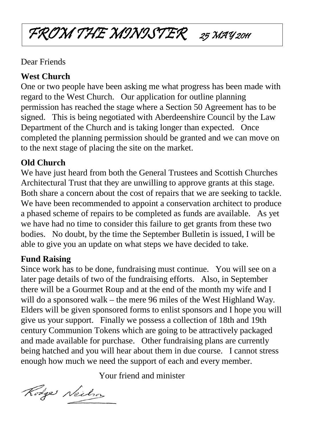# FROM THE MINISTER 25 MAY 2011

#### Dear Friends

#### **West Church**

One or two people have been asking me what progress has been made with regard to the West Church. Our application for outline planning permission has reached the stage where a Section 50 Agreement has to be signed. This is being negotiated with Aberdeenshire Council by the Law Department of the Church and is taking longer than expected. Once completed the planning permission should be granted and we can move on to the next stage of placing the site on the market.

#### **Old Church**

We have just heard from both the General Trustees and Scottish Churches Architectural Trust that they are unwilling to approve grants at this stage. Both share a concern about the cost of repairs that we are seeking to tackle. We have been recommended to appoint a conservation architect to produce a phased scheme of repairs to be completed as funds are available. As yet we have had no time to consider this failure to get grants from these two bodies. No doubt, by the time the September Bulletin is issued, I will be able to give you an update on what steps we have decided to take.

### **Fund Raising**

Since work has to be done, fundraising must continue. You will see on a later page details of two of the fundraising efforts. Also, in September there will be a Gourmet Roup and at the end of the month my wife and I will do a sponsored walk – the mere 96 miles of the West Highland Way. Elders will be given sponsored forms to enlist sponsors and I hope you will give us your support. Finally we possess a collection of 18th and 19th century Communion Tokens which are going to be attractively packaged and made available for purchase. Other fundraising plans are currently being hatched and you will hear about them in due course. I cannot stress enough how much we need the support of each and every member.

Your friend and minister

Rodge Neilson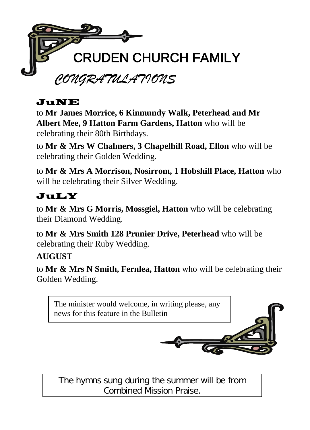

#### JuNE

to **Mr James Morrice, 6 Kinmundy Walk, Peterhead and Mr Albert Mee, 9 Hatton Farm Gardens, Hatton** who will be celebrating their 80th Birthdays.

to **Mr & Mrs W Chalmers, 3 Chapelhill Road, Ellon** who will be celebrating their Golden Wedding.

to **Mr & Mrs A Morrison, Nosirrom, 1 Hobshill Place, Hatton** who will be celebrating their Silver Wedding.

## JuLY

to **Mr & Mrs G Morris, Mossgiel, Hatton** who will be celebrating their Diamond Wedding.

to **Mr & Mrs Smith 128 Prunier Drive, Peterhead** who will be celebrating their Ruby Wedding.

#### **AUGUST**

to **Mr & Mrs N Smith, Fernlea, Hatton** who will be celebrating their Golden Wedding.



The hymns sung during the summer will be from Combined Mission Praise.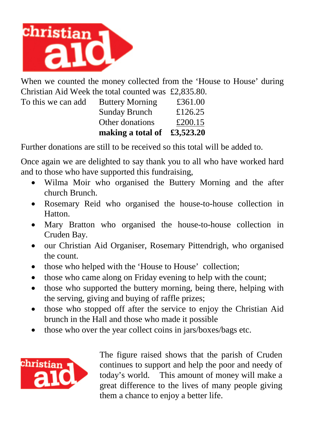

When we counted the money collected from the 'House to House' during Christian Aid Week the total counted was £2,835.80.

|                    | making a total of $\text{\pounds}3,523.20$ |         |
|--------------------|--------------------------------------------|---------|
|                    | Other donations                            | £200.15 |
|                    | Sunday Brunch                              | £126.25 |
| To this we can add | <b>Buttery Morning</b>                     | £361.00 |
|                    |                                            |         |

Further donations are still to be received so this total will be added to.

Once again we are delighted to say thank you to all who have worked hard and to those who have supported this fundraising,

- Wilma Moir who organised the Buttery Morning and the after church Brunch.
- Rosemary Reid who organised the house-to-house collection in Hatton.
- Mary Bratton who organised the house-to-house collection in Cruden Bay.
- our Christian Aid Organiser, Rosemary Pittendrigh, who organised the count.
- those who helped with the 'House to House' collection;
- those who came along on Friday evening to help with the count;
- those who supported the buttery morning, being there, helping with the serving, giving and buying of raffle prizes;
- those who stopped off after the service to enjoy the Christian Aid brunch in the Hall and those who made it possible
- those who over the year collect coins in jars/boxes/bags etc.



The figure raised shows that the parish of Cruden continues to support and help the poor and needy of today's world. This amount of money will make a great difference to the lives of many people giving them a chance to enjoy a better life.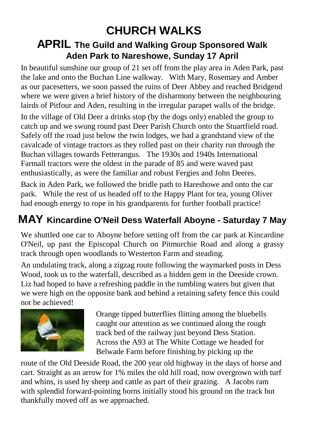# **CHURCH WALKS**

#### **APRIL The Guild and Walking Group Sponsored Walk Aden Park to Nareshowe, Sunday 17 April**

In beautiful sunshine our group of 21 set off from the play area in Aden Park, past the lake and onto the Buchan Line walkway. With Mary, Rosemary and Amber as our pacesetters, we soon passed the ruins of Deer Abbey and reached Bridgend where we were given a brief history of the disharmony between the neighbouring lairds of Pitfour and Aden, resulting in the irregular parapet walls of the bridge.

In the village of Old Deer a drinks stop (by the dogs only) enabled the group to catch up and we swung round past Deer Parish Church onto the Stuartfield road. Safely off the road just below the twin lodges, we had a grandstand view of the cavalcade of vintage tractors as they rolled past on their charity run through the Buchan villages towards Fetterangus. The 1930s and 1940s International Farmall tractors were the oldest in the parade of 85 and were waved past enthusiastically, as were the familiar and robust Fergies and John Deeres.

Back in Aden Park, we followed the bridle path to Hareshowe and onto the car park. While the rest of us headed off to the Happy Plant for tea, young Oliver had enough energy to rope in his grandparents for further football practice!

# **MAY Kincardine O'Neil Dess Waterfall Aboyne - Saturday 7 May**

We shuttled one car to Aboyne before setting off from the car park at Kincardine O'Neil, up past the Episcopal Church on Pitmurchie Road and along a grassy track through open woodlands to Westerton Farm and steading.

An undulating track, along a zigzag route following the waymarked posts in Dess Wood, took us to the waterfall, described as a hidden gem in the Deeside crown. Liz had hoped to have a refreshing paddle in the tumbling waters but given that we were high on the opposite bank and behind a retaining safety fence this could not be achieved!



Orange tipped butterflies flitting among the bluebells caught our attention as we continued along the rough track bed of the railway just beyond Dess Station. Across the A93 at The White Cottage we headed for Belwade Farm before finishing by picking up the

route of the Old Deeside Road, the 200 year old highway in the days of horse and cart. Straight as an arrow for 1% miles the old hill road, now overgrown with turf and whins, is used by sheep and cattle as part of their grazing. A Jacobs ram with splendid forward-pointing horns initially stood his ground on the track but thankfully moved off as we approached.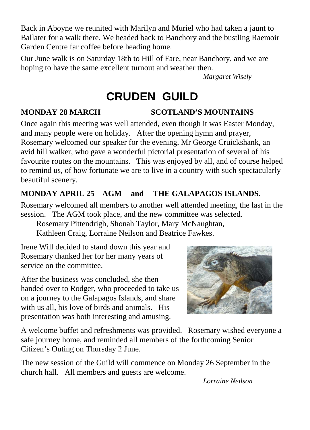Back in Aboyne we reunited with Marilyn and Muriel who had taken a jaunt to Ballater for a walk there. We headed back to Banchory and the bustling Raemoir Garden Centre far coffee before heading home.

Our June walk is on Saturday 18th to Hill of Fare, near Banchory, and we are hoping to have the same excellent turnout and weather then.

*Margaret Wisely*

# **CRUDEN GUILD**

#### **MONDAY 28 MARCH SCOTLAND'S MOUNTAINS**

Once again this meeting was well attended, even though it was Easter Monday, and many people were on holiday. After the opening hymn and prayer, Rosemary welcomed our speaker for the evening, Mr George Cruickshank, an avid hill walker, who gave a wonderful pictorial presentation of several of his favourite routes on the mountains. This was enjoyed by all, and of course helped to remind us, of how fortunate we are to live in a country with such spectacularly beautiful scenery.

#### **MONDAY APRIL 25 AGM and THE GALAPAGOS ISLANDS.**

Rosemary welcomed all members to another well attended meeting, the last in the session. The AGM took place, and the new committee was selected.

Rosemary Pittendrigh, Shonah Taylor, Mary McNaughtan,

Kathleen Craig, Lorraine Neilson and Beatrice Fawkes.

Irene Will decided to stand down this year and Rosemary thanked her for her many years of service on the committee.

After the business was concluded, she then handed over to Rodger, who proceeded to take us on a journey to the Galapagos Islands, and share with us all, his love of birds and animals. His presentation was both interesting and amusing.



A welcome buffet and refreshments was provided. Rosemary wished everyone a safe journey home, and reminded all members of the forthcoming Senior Citizen's Outing on Thursday 2 June.

The new session of the Guild will commence on Monday 26 September in the church hall. All members and guests are welcome.

*Lorraine Neilson*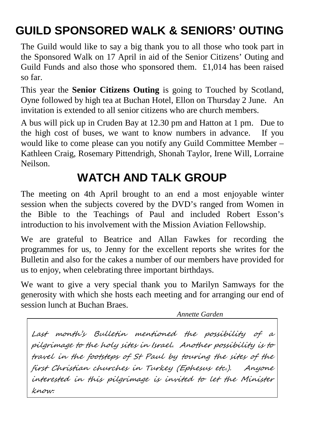# **GUILD SPONSORED WALK & SENIORS' OUTING**

The Guild would like to say a big thank you to all those who took part in the Sponsored Walk on 17 April in aid of the Senior Citizens' Outing and Guild Funds and also those who sponsored them. £1,014 has been raised so far.

This year the **Senior Citizens Outing** is going to Touched by Scotland, Oyne followed by high tea at Buchan Hotel, Ellon on Thursday 2 June. An invitation is extended to all senior citizens who are church members.

A bus will pick up in Cruden Bay at 12.30 pm and Hatton at 1 pm. Due to the high cost of buses, we want to know numbers in advance. If you would like to come please can you notify any Guild Committee Member – Kathleen Craig, Rosemary Pittendrigh, Shonah Taylor, Irene Will, Lorraine Neilson.

# **WATCH AND TALK GROUP**

The meeting on 4th April brought to an end a most enjoyable winter session when the subjects covered by the DVD's ranged from Women in the Bible to the Teachings of Paul and included Robert Esson's introduction to his involvement with the Mission Aviation Fellowship.

We are grateful to Beatrice and Allan Fawkes for recording the programmes for us, to Jenny for the excellent reports she writes for the Bulletin and also for the cakes a number of our members have provided for us to enjoy, when celebrating three important birthdays.

We want to give a very special thank you to Marilyn Samways for the generosity with which she hosts each meeting and for arranging our end of session lunch at Buchan Braes.

*Annette Garden*

Last month's Bulletin mentioned the possibility of a pilgrimage to the holy sites in Israel. Another possibility is to travel in the footsteps of St Paul by touring the sites of the first Christian churches in Turkey (Ephesus etc.). Anyone interested in this pilgrimage is invited to let the Minister know.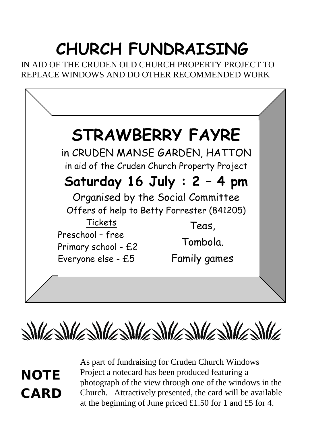# **CHURCH FUNDRAISING**

IN AID OF THE CRUDEN OLD CHURCH PROPERTY PROJECT TO REPLACE WINDOWS AND DO OTHER RECOMMENDED WORK





**NOTE CARD**  As part of fundraising for Cruden Church Windows Project a notecard has been produced featuring a photograph of the view through one of the windows in the Church. Attractively presented, the card will be available at the beginning of June priced £1.50 for 1 and £5 for 4.